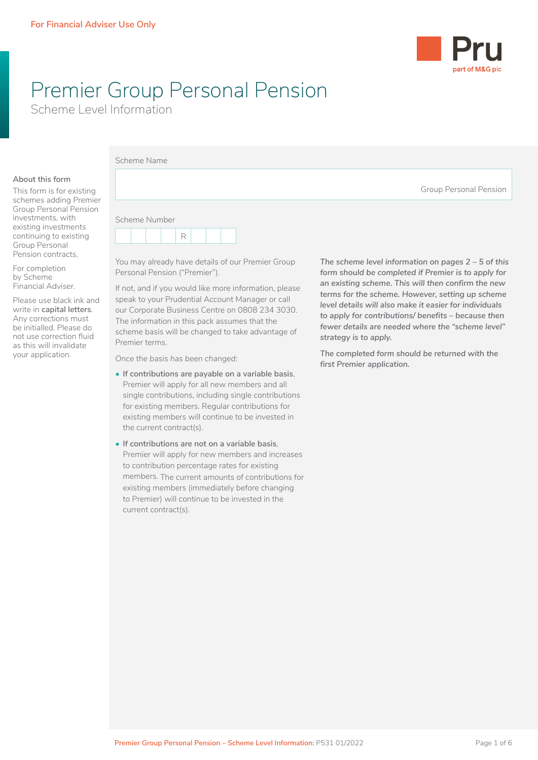

# Premier Group Personal Pension

Scheme Level Information

This form is for existing schemes adding Premie Group Personal Pension investments, with existing investments continuing to existing Group Personal Pension contracts.

For completion by Scheme Financial Adviser.

Please use black ink and write in **capital letters**. Any corrections must be initialled. Please do not use correction fluid as this will invalidate your application.

|    | Scheme Name                   |
|----|-------------------------------|
|    | <b>Group Personal Pension</b> |
| эr | Scheme Number<br>R            |

You may already have details of our Premier Group Personal Pension ("Premier").

If not, and if you would like more information, please speak to your Prudential Account Manager or call our Corporate Business Centre on 0808 234 3030. The information in this pack assumes that the scheme basis will be changed to take advantage of Premier terms.

*Once the basis has been changed:*

- **If contributions are payable on a variable basis**, Premier will apply for all new members and all single contributions, including single contributions for existing members. Regular contributions for existing members will continue to be invested in the current contract(s).
- **If contributions are not on a variable basis**, Premier will apply for new members and increases to contribution percentage rates for existing members. The current amounts of contributions for existing members (immediately before changing to Premier) will continue to be invested in the current contract(s).

*The scheme level information on pages 2 – 5 of this form should be completed if Premier is to apply for an existing scheme. This will then confirm the new terms for the scheme. However, setting up scheme level details will also make it easier for individuals to apply for contributions/ benefits – because then fewer details are needed where the "scheme level" strategy is to apply.* 

*The completed form should be returned with the first Premier application.*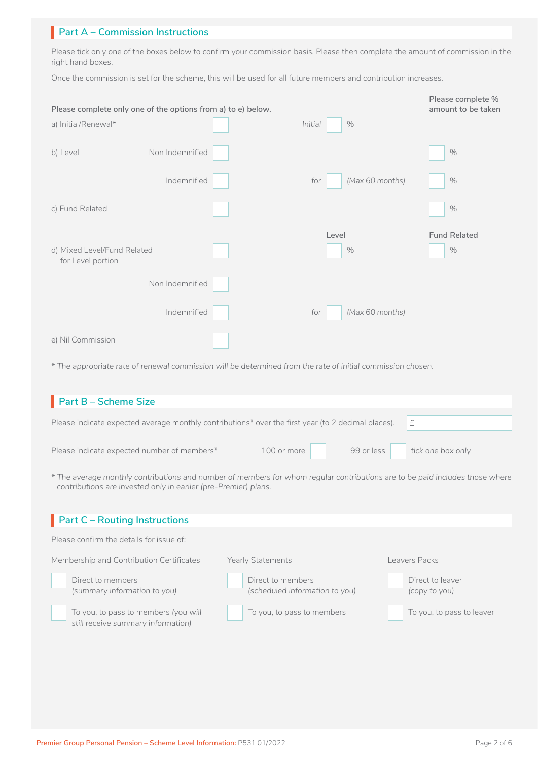## **Part A – Commission Instructions**

Please tick only one of the boxes below to confirm your commission basis. Please then complete the amount of commission in the right hand boxes.

Once the commission is set for the scheme, this will be used for all future members and contribution increases.

| a) Initial/Renewal*                              | Please complete only one of the options from a) to e) below. | Initial<br>$\%$        | Please complete %<br>amount to be taken |
|--------------------------------------------------|--------------------------------------------------------------|------------------------|-----------------------------------------|
|                                                  |                                                              |                        |                                         |
| b) Level                                         | Non Indemnified                                              |                        | $\%$                                    |
|                                                  | Indemnified                                                  | (Max 60 months)<br>for | $\%$                                    |
| c) Fund Related                                  |                                                              |                        | $\%$                                    |
|                                                  |                                                              | Level                  | <b>Fund Related</b>                     |
|                                                  |                                                              |                        |                                         |
| d) Mixed Level/Fund Related<br>for Level portion |                                                              | $\%$                   | $\%$                                    |
|                                                  | Non Indemnified                                              |                        |                                         |
|                                                  | Indemnified                                                  | (Max 60 months)<br>for |                                         |

*\* The appropriate rate of renewal commission will be determined from the rate of initial commission chosen.*

| $\blacksquare$ Part B – Scheme Size                                                                                          |                                          |  |
|------------------------------------------------------------------------------------------------------------------------------|------------------------------------------|--|
| Please indicate expected average monthly contributions* over the first year (to 2 decimal places). $\mathbf{f}$ $\mathbf{f}$ |                                          |  |
| Please indicate expected number of members*                                                                                  | 100 or more 99 or less tick one box only |  |
| * The average monthly contributions and number of members for whom regular contributions are to be paid includes those where |                                          |  |

*contributions are invested only in earlier (pre-Premier) plans.*

| $\blacksquare$ Part C – Routing Instructions                                  |                                                     |                                   |  |  |  |
|-------------------------------------------------------------------------------|-----------------------------------------------------|-----------------------------------|--|--|--|
| Please confirm the details for issue of:                                      |                                                     |                                   |  |  |  |
| eavers Packs<br>Membership and Contribution Certificates<br>Yearly Statements |                                                     |                                   |  |  |  |
| Direct to members<br>(summary information to you)                             | Direct to members<br>(scheduled information to you) | Direct to leaver<br>(copy to you) |  |  |  |
| To you, to pass to members (you will<br>still receive summary information)    | To you, to pass to members                          | To you, to pass to leaver         |  |  |  |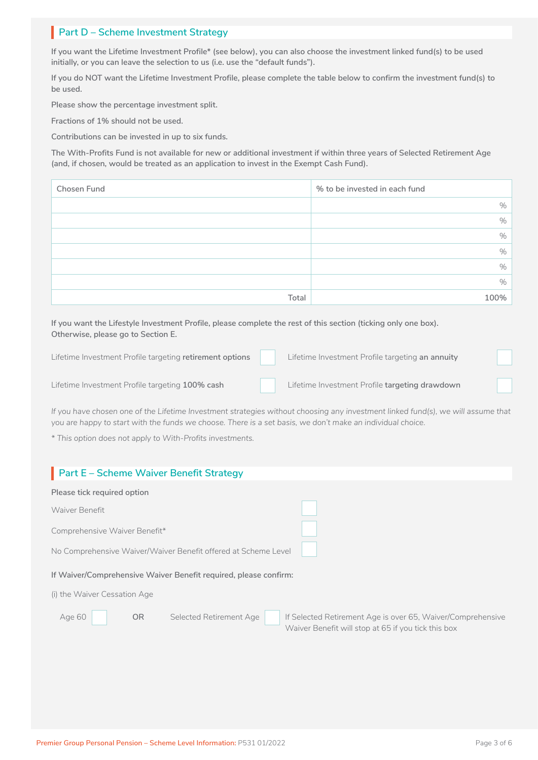## **Part D – Scheme Investment Strategy**

**If you want the Lifetime Investment Profile\* (see below), you can also choose the investment linked fund(s) to be used initially, or you can leave the selection to us (i.e. use the "default funds").**

**If you do NOT want the Lifetime Investment Profile, please complete the table below to confirm the investment fund(s) to be used.**

**Please show the percentage investment split.**

**Fractions of 1% should not be used.**

**Contributions can be invested in up to six funds.**

**The With-Profits Fund is not available for new or additional investment if within three years of Selected Retirement Age (and, if chosen, would be treated as an application to invest in the Exempt Cash Fund).**

| Chosen Fund | % to be invested in each fund |
|-------------|-------------------------------|
|             | %                             |
|             | $\%$                          |
|             | $\%$                          |
|             | $\%$                          |
|             | $\%$                          |
|             | $\%$                          |
| Total       | 100%                          |

**If you want the Lifestyle Investment Profile, please complete the rest of this section (ticking only one box). Otherwise, please go to Section E.**

| Lifetime Investment Profile targeting retirement options | Lifetime Investment Profile targeting an annuity |  |
|----------------------------------------------------------|--------------------------------------------------|--|
| Lifetime Investment Profile targeting 100% cash          | Lifetime Investment Profile targeting drawdown   |  |

*If you have chosen one of the Lifetime Investment strategies without choosing any investment linked fund(s), we will assume that you are happy to start with the funds we choose. There is a set basis, we don't make an individual choice.*

*\* This option does not apply to With-Profits investments.*

| Part E - Scheme Waiver Benefit Strategy                                                               |                                                             |  |  |
|-------------------------------------------------------------------------------------------------------|-------------------------------------------------------------|--|--|
| Please tick required option                                                                           |                                                             |  |  |
| Waiver Benefit                                                                                        |                                                             |  |  |
| Comprehensive Waiver Benefit*                                                                         |                                                             |  |  |
| No Comprehensive Waiver/Waiver Benefit offered at Scheme Level                                        |                                                             |  |  |
| If Waiver/Comprehensive Waiver Benefit required, please confirm:                                      |                                                             |  |  |
| (i) the Waiver Cessation Age                                                                          |                                                             |  |  |
| <b>OR</b><br>Selected Retirement Age<br>Age 60<br>Waiver Benefit will stop at 65 if you tick this box | If Selected Retirement Age is over 65, Waiver/Comprehensive |  |  |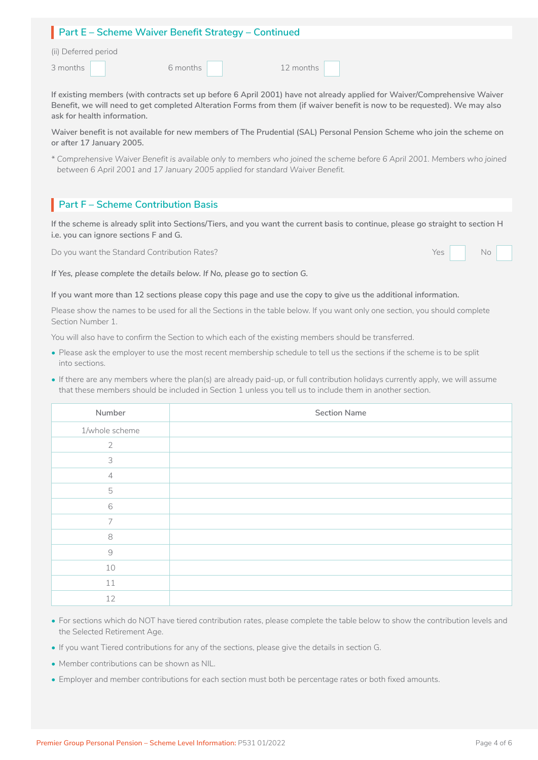| Part E - Scheme Waiver Benefit Strategy - Continued |  |
|-----------------------------------------------------|--|
| (ii) Deferred neriod                                |  |

| (ii) Deferred perio |  |  |
|---------------------|--|--|
|                     |  |  |

3 months 12 months 12 months 12 months 6 months 12 months 12 months 12 months 12 months 12 months 12 months 12 months 12 months 12 months 12 months 12 months 12 months 12 months 12 months 12 months 12 months 12 months 12 months 12 months 12 months 12 months 12

**If existing members (with contracts set up before 6 April 2001) have not already applied for Waiver/Comprehensive Waiver Benefit, we will need to get completed Alteration Forms from them (if waiver benefit is now to be requested). We may also ask for health information.**

**Waiver benefit is not available for new members of The Prudential (SAL) Personal Pension Scheme who join the scheme on or after 17 January 2005.**

*\* Comprehensive Waiver Benefit is available only to members who joined the scheme before 6 April 2001. Members who joined between 6 April 2001 and 17 January 2005 applied for standard Waiver Benefit.*

## **Part F – Scheme Contribution Basis**

**If the scheme is already split into Sections/Tiers, and you want the current basis to continue, please go straight to section H i.e. you can ignore sections F and G.**

Do you want the Standard Contribution Rates? No wanter the Standard Contribution Rates?



*If Yes, please complete the details below. If No, please go to section G.*

#### **If you want more than 12 sections please copy this page and use the copy to give us the additional information.**

Please show the names to be used for all the Sections in the table below. If you want only one section, you should complete Section Number 1.

You will also have to confirm the Section to which each of the existing members should be transferred.

- Please ask the employer to use the most recent membership schedule to tell us the sections if the scheme is to be split into sections.
- If there are any members where the plan(s) are already paid-up, or full contribution holidays currently apply, we will assume that these members should be included in Section 1 unless you tell us to include them in another section.

| Number         | <b>Section Name</b> |
|----------------|---------------------|
| 1/whole scheme |                     |
| 2              |                     |
| 3              |                     |
| $\overline{4}$ |                     |
| 5              |                     |
| $\,$ $\,$ $\,$ |                     |
| $\overline{7}$ |                     |
| 8              |                     |
| $\Theta$       |                     |
| 10             |                     |
| 11             |                     |
| 12             |                     |

- For sections which do NOT have tiered contribution rates, please complete the table below to show the contribution levels and the Selected Retirement Age.
- If you want Tiered contributions for any of the sections, please give the details in section G.
- Member contributions can be shown as NIL.
- Employer and member contributions for each section must both be percentage rates or both fixed amounts.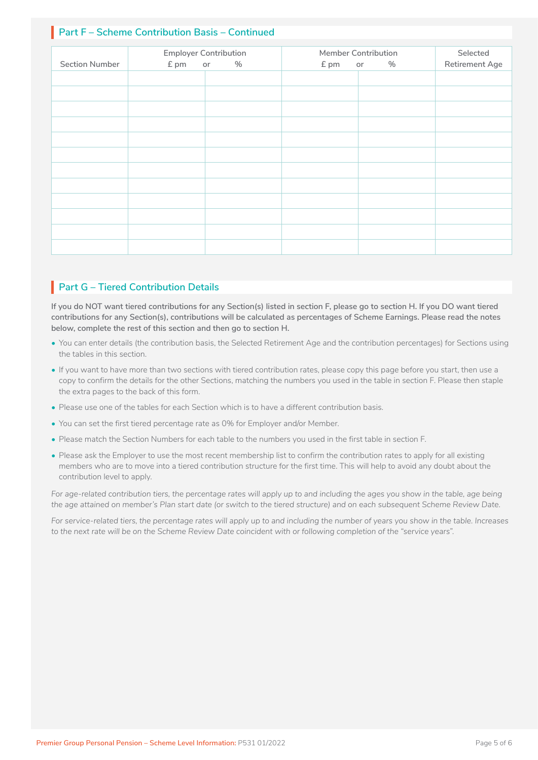## **Part F – Scheme Contribution Basis – Continued**

| <b>Section Number</b> | £ pm<br>or | <b>Employer Contribution</b><br>$\%$ | £ pm | <b>Member Contribution</b><br>$\%$<br>or | Selected<br>Retirement Age |
|-----------------------|------------|--------------------------------------|------|------------------------------------------|----------------------------|
|                       |            |                                      |      |                                          |                            |
|                       |            |                                      |      |                                          |                            |
|                       |            |                                      |      |                                          |                            |
|                       |            |                                      |      |                                          |                            |
|                       |            |                                      |      |                                          |                            |
|                       |            |                                      |      |                                          |                            |
|                       |            |                                      |      |                                          |                            |
|                       |            |                                      |      |                                          |                            |
|                       |            |                                      |      |                                          |                            |
|                       |            |                                      |      |                                          |                            |
|                       |            |                                      |      |                                          |                            |
|                       |            |                                      |      |                                          |                            |

## **Part G – Tiered Contribution Details**

**If you do NOT want tiered contributions for any Section(s) listed in section F, please go to section H. If you DO want tiered contributions for any Section(s), contributions will be calculated as percentages of Scheme Earnings. Please read the notes below, complete the rest of this section and then go to section H.**

- You can enter details (the contribution basis, the Selected Retirement Age and the contribution percentages) for Sections using the tables in this section.
- If you want to have more than two sections with tiered contribution rates, please copy this page before you start, then use a copy to confirm the details for the other Sections, matching the numbers you used in the table in section F. Please then staple the extra pages to the back of this form.
- Please use one of the tables for each Section which is to have a different contribution basis.
- You can set the first tiered percentage rate as 0% for Employer and/or Member.
- Please match the Section Numbers for each table to the numbers you used in the first table in section F.
- Please ask the Employer to use the most recent membership list to confirm the contribution rates to apply for all existing members who are to move into a tiered contribution structure for the first time. This will help to avoid any doubt about the contribution level to apply.

*For age-related contribution tiers, the percentage rates will apply up to and including the ages you show in the table, age being the age attained on member's Plan start date (or switch to the tiered structure) and on each subsequent Scheme Review Date.*

*For service-related tiers, the percentage rates will apply up to and including the number of years you show in the table. Increases to the next rate will be on the Scheme Review Date coincident with or following completion of the "service years".*